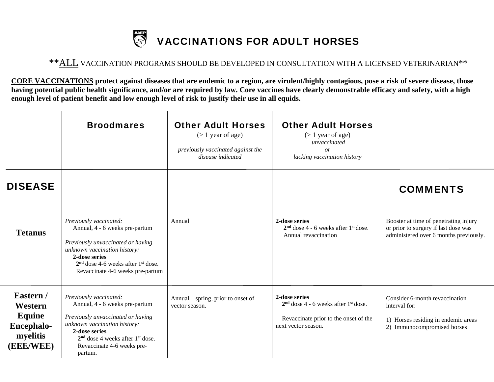## S VACCINATIONS FOR ADULT HORSES

## \*\*ALL VACCINATION PROGRAMS SHOULD BE DEVELOPED IN CONSULTATION WITH A LICENSED VETERINARIAN\*\*

**CORE VACCINATIONS protect against diseases that are endemic to a region, are virulent/highly contagious, pose a risk of severe disease, those having potential public health significance, and/or are required by law. Core vaccines have clearly demonstrable efficacy and safety, with a high enough level of patient benefit and low enough level of risk to justify their use in all equids.** 

|                                                                              | <b>Broodmares</b>                                                                                                                                                                                                                         | <b>Other Adult Horses</b><br>$($ 1 year of age)<br>previously vaccinated against the<br>disease indicated | <b>Other Adult Horses</b><br>$($ 1 year of age)<br>unvaccinated<br>or<br>lacking vaccination history                      |                                                                                                                         |
|------------------------------------------------------------------------------|-------------------------------------------------------------------------------------------------------------------------------------------------------------------------------------------------------------------------------------------|-----------------------------------------------------------------------------------------------------------|---------------------------------------------------------------------------------------------------------------------------|-------------------------------------------------------------------------------------------------------------------------|
| <b>DISEASE</b>                                                               |                                                                                                                                                                                                                                           |                                                                                                           |                                                                                                                           | <b>COMMENTS</b>                                                                                                         |
| <b>Tetanus</b>                                                               | Previously vaccinated:<br>Annual, 4 - 6 weeks pre-partum<br>Previously unvaccinated or having<br>unknown vaccination history:<br>2-dose series<br>$2nd$ dose 4-6 weeks after 1 <sup>st</sup> dose.<br>Revaccinate 4-6 weeks pre-partum    | Annual                                                                                                    | 2-dose series<br>$2nd$ dose 4 - 6 weeks after 1 <sup>st</sup> dose.<br>Annual revaccination                               | Booster at time of penetrating injury<br>or prior to surgery if last dose was<br>administered over 6 months previously. |
| Eastern /<br>Western<br>Equine<br><b>Encephalo-</b><br>myelitis<br>(EEE/WEE) | Previously vaccinated:<br>Annual, 4 - 6 weeks pre-partum<br>Previously unvaccinated or having<br>unknown vaccination history:<br>2-dose series<br>$2nd$ dose 4 weeks after 1 <sup>st</sup> dose.<br>Revaccinate 4-6 weeks pre-<br>partum. | Annual – spring, prior to onset of<br>vector season.                                                      | 2-dose series<br>$2nd$ dose 4 - 6 weeks after $1st$ dose.<br>Revaccinate prior to the onset of the<br>next vector season. | Consider 6-month revaccination<br>interval for:<br>1) Horses residing in endemic areas<br>2) Immunocompromised horses   |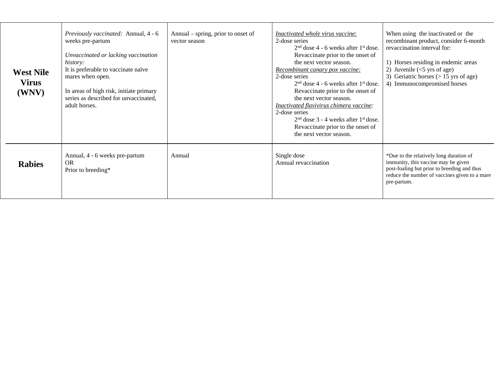| <b>West Nile</b><br><b>Virus</b><br>(WNV) | <i>Previously vaccinated:</i> Annual, 4 - 6<br>weeks pre-partum<br>Unvaccinated or lacking vaccination<br>history:<br>It is preferable to vaccinate naïve<br>mares when open.<br>In areas of high risk, initiate primary<br>series as described for unvaccinated,<br>adult horses. | Annual – spring, prior to onset of<br>vector season | Inactivated whole virus vaccine:<br>2-dose series<br>$2nd$ dose 4 - 6 weeks after $1st$ dose.<br>Revaccinate prior to the onset of<br>the next vector season.<br>Recombinant canary pox vaccine:<br>2-dose series<br>$2nd$ dose 4 - 6 weeks after $1st$ dose.<br>Revaccinate prior to the onset of<br>the next vector season.<br>Inactivated flavivirus chimera vaccine:<br>2-dose series<br>$2nd$ dose 3 - 4 weeks after $1st$ dose.<br>Revaccinate prior to the onset of<br>the next vector season. | When using the inactivated or the<br>recombinant product, consider 6-month<br>revaccination interval for:<br>1) Horses residing in endemic areas<br>2) Juvenile $(<5$ yrs of age)<br>3) Geriatric horses $(> 15 \text{ yrs of age})$<br>4) Immunocompromised horses |
|-------------------------------------------|------------------------------------------------------------------------------------------------------------------------------------------------------------------------------------------------------------------------------------------------------------------------------------|-----------------------------------------------------|-------------------------------------------------------------------------------------------------------------------------------------------------------------------------------------------------------------------------------------------------------------------------------------------------------------------------------------------------------------------------------------------------------------------------------------------------------------------------------------------------------|---------------------------------------------------------------------------------------------------------------------------------------------------------------------------------------------------------------------------------------------------------------------|
| <b>Rabies</b>                             | Annual, 4 - 6 weeks pre-partum<br><b>OR</b><br>Prior to breeding*                                                                                                                                                                                                                  | Annual                                              | Single dose<br>Annual revaccination                                                                                                                                                                                                                                                                                                                                                                                                                                                                   | *Due to the relatively long duration of<br>immunity, this vaccine may be given<br>post-foaling but prior to breeding and thus<br>reduce the number of vaccines given to a mare<br>pre-partum.                                                                       |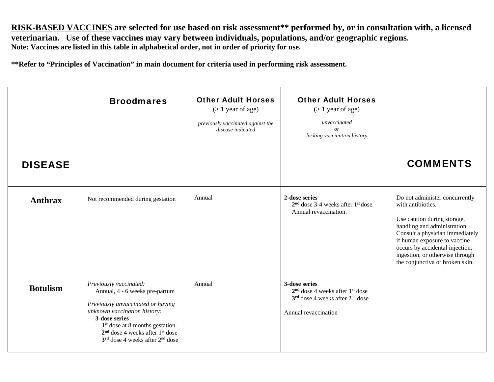**RISK-BASED VACCINES are selected for use based on risk assessment\*\* performed by, or in consultation with, a licensed veterinarian. Use of these vaccines may vary between individuals, populations, and/or geographic regions. Note: Vaccines are listed in this table in alphabetical order, not in order of priority for use.** 

**\*\*Refer to "Principles of Vaccination" in main document for criteria used in performing risk assessment.** 

|                 | <b>Broodmares</b>                                                                                                                                                                                                                                                 | <b>Other Adult Horses</b><br>$($ 1 year of age)<br>previously vaccinated against the<br>disease indicated | <b>Other Adult Horses</b><br>$($ 1 year of age)<br>unvaccinated<br><i>or</i><br>lacking vaccination history         |                                                                                                                                                                                                                                                                                                |
|-----------------|-------------------------------------------------------------------------------------------------------------------------------------------------------------------------------------------------------------------------------------------------------------------|-----------------------------------------------------------------------------------------------------------|---------------------------------------------------------------------------------------------------------------------|------------------------------------------------------------------------------------------------------------------------------------------------------------------------------------------------------------------------------------------------------------------------------------------------|
| <b>DISEASE</b>  |                                                                                                                                                                                                                                                                   |                                                                                                           |                                                                                                                     | <b>COMMENTS</b>                                                                                                                                                                                                                                                                                |
| <b>Anthrax</b>  | Not recommended during gestation                                                                                                                                                                                                                                  | Annual                                                                                                    | 2-dose series<br>$2nd$ dose 3-4 weeks after $1st$ dose.<br>Annual revaccination.                                    | Do not administer concurrently<br>with antibiotics.<br>Use caution during storage,<br>handling and administration.<br>Consult a physician immediately<br>if human exposure to vaccine<br>occurs by accidental injection,<br>ingestion, or otherwise through<br>the conjunctiva or broken skin. |
| <b>Botulism</b> | Previously vaccinated:<br>Annual, 4 - 6 weeks pre-partum<br>Previously unvaccinated or having<br>unknown vaccination history:<br>3-dose series<br>$1st$ dose at 8 months gestation.<br>$2nd$ dose 4 weeks after $1st$ dose<br>$3rd$ dose 4 weeks after $2nd$ dose | Annual                                                                                                    | 3-dose series<br>$2nd$ dose 4 weeks after $1st$ dose<br>$3rd$ dose 4 weeks after $2nd$ dose<br>Annual revaccination |                                                                                                                                                                                                                                                                                                |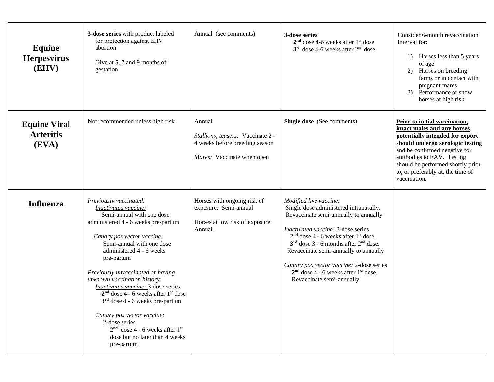| Equine<br><b>Herpesvirus</b><br>(EHV)            | 3-dose series with product labeled<br>for protection against EHV<br>abortion<br>Give at 5, 7 and 9 months of<br>gestation                                                                                                                                                                                                                                                                                                                                                                                                                                                | Annual (see comments)                                                                                       | 3-dose series<br>$2nd$ dose 4-6 weeks after 1 <sup>st</sup> dose<br>$3rd$ dose 4-6 weeks after $2nd$ dose                                                                                                                                                                                                                                                                                                                         | Consider 6-month revaccination<br>interval for:<br>Horses less than 5 years<br>1)<br>of age<br>Horses on breeding<br>2)<br>farms or in contact with<br>pregnant mares<br>3) Performance or show<br>horses at high risk                                                                       |
|--------------------------------------------------|--------------------------------------------------------------------------------------------------------------------------------------------------------------------------------------------------------------------------------------------------------------------------------------------------------------------------------------------------------------------------------------------------------------------------------------------------------------------------------------------------------------------------------------------------------------------------|-------------------------------------------------------------------------------------------------------------|-----------------------------------------------------------------------------------------------------------------------------------------------------------------------------------------------------------------------------------------------------------------------------------------------------------------------------------------------------------------------------------------------------------------------------------|----------------------------------------------------------------------------------------------------------------------------------------------------------------------------------------------------------------------------------------------------------------------------------------------|
| <b>Equine Viral</b><br><b>Arteritis</b><br>(EVA) | Not recommended unless high risk                                                                                                                                                                                                                                                                                                                                                                                                                                                                                                                                         | Annual<br>Stallions, teasers: Vaccinate 2 -<br>4 weeks before breeding season<br>Mares: Vaccinate when open | Single dose (See comments)                                                                                                                                                                                                                                                                                                                                                                                                        | Prior to initial vaccination,<br>intact males and any horses<br>potentially intended for export<br>should undergo serologic testing<br>and be confirmed negative for<br>antibodies to EAV. Testing<br>should be performed shortly prior<br>to, or preferably at, the time of<br>vaccination. |
| <b>Influenza</b>                                 | Previously vaccinated:<br>Inactivated vaccine:<br>Semi-annual with one dose<br>administered 4 - 6 weeks pre-partum<br>Canary pox vector vaccine:<br>Semi-annual with one dose<br>administered 4 - 6 weeks<br>pre-partum<br>Previously unvaccinated or having<br>unknown vaccination history:<br><b>Inactivated vaccine:</b> 3-dose series<br>$2nd$ dose 4 - 6 weeks after $1st$ dose<br>$3rd$ dose 4 - 6 weeks pre-partum<br>Canary pox vector vaccine:<br>2-dose series<br>$2nd$ dose 4 - 6 weeks after 1 <sup>st</sup><br>dose but no later than 4 weeks<br>pre-partum | Horses with ongoing risk of<br>exposure: Semi-annual<br>Horses at low risk of exposure:<br>Annual.          | Modified live vaccine:<br>Single dose administered intranasally.<br>Revaccinate semi-annually to annually<br><b>Inactivated vaccine:</b> 3-dose series<br>$2nd$ dose 4 - 6 weeks after 1 <sup>st</sup> dose.<br>$3rd$ dose 3 - 6 months after $2nd$ dose.<br>Revaccinate semi-annually to annually<br>Canary pox vector vaccine: 2-dose series<br>$2nd$ dose 4 - 6 weeks after 1 <sup>st</sup> dose.<br>Revaccinate semi-annually |                                                                                                                                                                                                                                                                                              |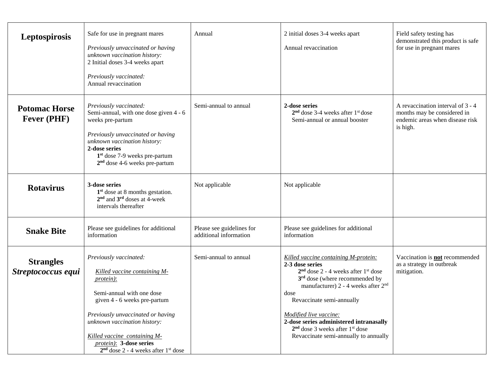| Leptospirosis                              | Safe for use in pregnant mares<br>Previously unvaccinated or having<br>unknown vaccination history:<br>2 Initial doses 3-4 weeks apart<br>Previously vaccinated:<br>Annual revaccination                                                                                                                            | Annual                                              | 2 initial doses 3-4 weeks apart<br>Annual revaccination                                                                                                                                                                                                                                                                                                                                                 | Field safety testing has<br>demonstrated this product is safe<br>for use in pregnant mares                      |
|--------------------------------------------|---------------------------------------------------------------------------------------------------------------------------------------------------------------------------------------------------------------------------------------------------------------------------------------------------------------------|-----------------------------------------------------|---------------------------------------------------------------------------------------------------------------------------------------------------------------------------------------------------------------------------------------------------------------------------------------------------------------------------------------------------------------------------------------------------------|-----------------------------------------------------------------------------------------------------------------|
| <b>Potomac Horse</b><br><b>Fever (PHF)</b> | Previously vaccinated:<br>Semi-annual, with one dose given 4 - 6<br>weeks pre-partum<br>Previously unvaccinated or having<br>unknown vaccination history:<br>2-dose series<br>$1st$ dose 7-9 weeks pre-partum<br>$2nd$ dose 4-6 weeks pre-partum                                                                    | Semi-annual to annual                               | 2-dose series<br>$2nd$ dose 3-4 weeks after $1st$ dose<br>Semi-annual or annual booster                                                                                                                                                                                                                                                                                                                 | A revaccination interval of 3 - 4<br>months may be considered in<br>endemic areas when disease risk<br>is high. |
| <b>Rotavirus</b>                           | 3-dose series<br>$1st$ dose at 8 months gestation.<br>$2nd$ and $3rd$ doses at 4-week<br>intervals thereafter                                                                                                                                                                                                       | Not applicable                                      | Not applicable                                                                                                                                                                                                                                                                                                                                                                                          |                                                                                                                 |
| <b>Snake Bite</b>                          | Please see guidelines for additional<br>information                                                                                                                                                                                                                                                                 | Please see guidelines for<br>additional information | Please see guidelines for additional<br>information                                                                                                                                                                                                                                                                                                                                                     |                                                                                                                 |
| <b>Strangles</b><br>Streptococcus equi     | Previously vaccinated:<br>Killed vaccine containing M-<br><i>protein</i> ):<br>Semi-annual with one dose<br>given 4 - 6 weeks pre-partum<br>Previously unvaccinated or having<br>unknown vaccination history:<br>Killed vaccine containing M-<br>protein): 3-dose series<br>$2nd$ dose 2 - 4 weeks after $1st$ dose | Semi-annual to annual                               | Killed vaccine containing M-protein:<br>2-3 dose series<br>$2nd$ dose 2 - 4 weeks after $1st$ dose<br>3 <sup>rd</sup> dose (where recommended by<br>manufacturer) 2 - 4 weeks after 2 <sup>nd</sup><br>dose<br>Revaccinate semi-annually<br>Modified live vaccine:<br>2-dose series administered intranasally<br>$2nd$ dose 3 weeks after 1 <sup>st</sup> dose<br>Revaccinate semi-annually to annually | Vaccination is not recommended<br>as a strategy in outbreak<br>mitigation.                                      |